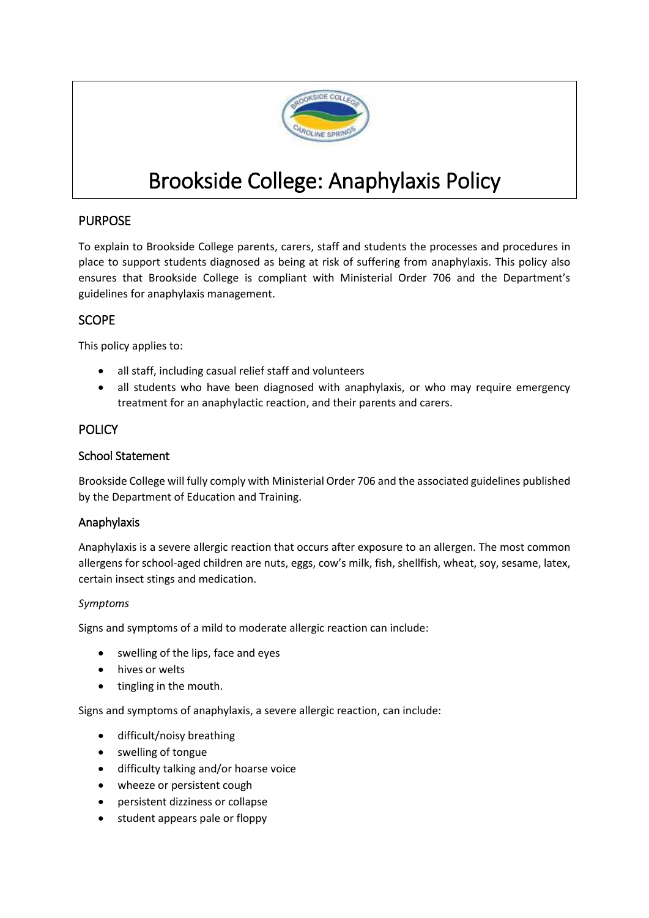

# Brookside College: Anaphylaxis Policy

# PURPOSE

To explain to Brookside College parents, carers, staff and students the processes and procedures in place to support students diagnosed as being at risk of suffering from anaphylaxis. This policy also ensures that Brookside College is compliant with Ministerial Order 706 and the Department's guidelines for anaphylaxis management.

## SCOPE

This policy applies to:

- all staff, including casual relief staff and volunteers
- all students who have been diagnosed with anaphylaxis, or who may require emergency treatment for an anaphylactic reaction, and their parents and carers.

## **POLICY**

#### School Statement

Brookside College will fully comply with Ministerial Order 706 and the associated guidelines published by the Department of Education and Training.

## Anaphylaxis

Anaphylaxis is a severe allergic reaction that occurs after exposure to an allergen. The most common allergens for school-aged children are nuts, eggs, cow's milk, fish, shellfish, wheat, soy, sesame, latex, certain insect stings and medication.

#### *Symptoms*

Signs and symptoms of a mild to moderate allergic reaction can include:

- swelling of the lips, face and eyes
- hives or welts
- tingling in the mouth.

Signs and symptoms of anaphylaxis, a severe allergic reaction, can include:

- difficult/noisy breathing
- swelling of tongue
- difficulty talking and/or hoarse voice
- wheeze or persistent cough
- persistent dizziness or collapse
- student appears pale or floppy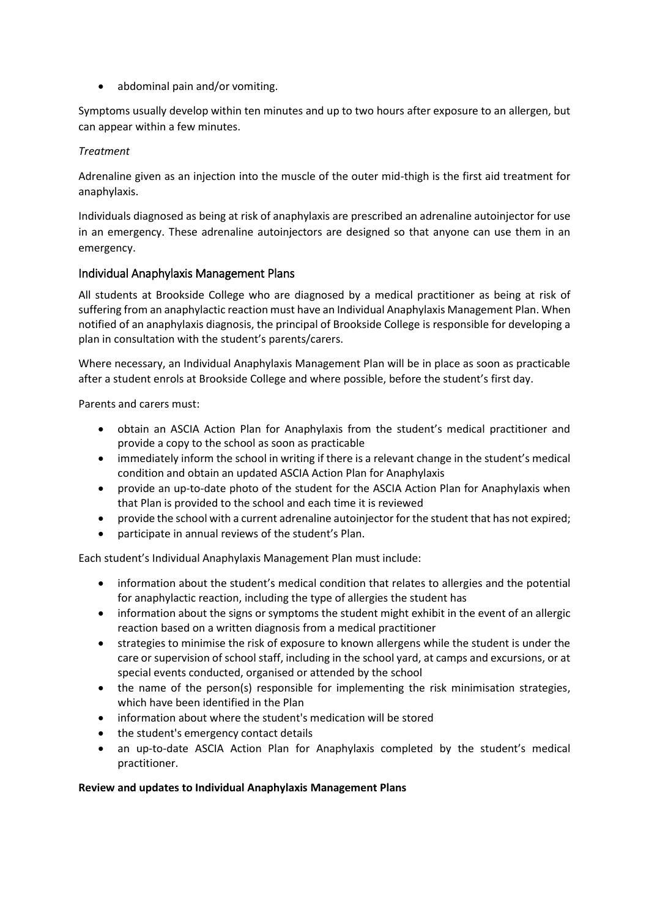• abdominal pain and/or vomiting.

Symptoms usually develop within ten minutes and up to two hours after exposure to an allergen, but can appear within a few minutes.

#### *Treatment*

Adrenaline given as an injection into the muscle of the outer mid-thigh is the first aid treatment for anaphylaxis.

Individuals diagnosed as being at risk of anaphylaxis are prescribed an adrenaline autoinjector for use in an emergency. These adrenaline autoinjectors are designed so that anyone can use them in an emergency.

## Individual Anaphylaxis Management Plans

All students at Brookside College who are diagnosed by a medical practitioner as being at risk of suffering from an anaphylactic reaction must have an Individual Anaphylaxis Management Plan. When notified of an anaphylaxis diagnosis, the principal of Brookside College is responsible for developing a plan in consultation with the student's parents/carers.

Where necessary, an Individual Anaphylaxis Management Plan will be in place as soon as practicable after a student enrols at Brookside College and where possible, before the student's first day.

Parents and carers must:

- obtain an ASCIA Action Plan for Anaphylaxis from the student's medical practitioner and provide a copy to the school as soon as practicable
- immediately inform the school in writing if there is a relevant change in the student's medical condition and obtain an updated ASCIA Action Plan for Anaphylaxis
- provide an up-to-date photo of the student for the ASCIA Action Plan for Anaphylaxis when that Plan is provided to the school and each time it is reviewed
- provide the school with a current adrenaline autoinjector for the student that has not expired;
- participate in annual reviews of the student's Plan.

Each student's Individual Anaphylaxis Management Plan must include:

- information about the student's medical condition that relates to allergies and the potential for anaphylactic reaction, including the type of allergies the student has
- information about the signs or symptoms the student might exhibit in the event of an allergic reaction based on a written diagnosis from a medical practitioner
- strategies to minimise the risk of exposure to known allergens while the student is under the care or supervision of school staff, including in the school yard, at camps and excursions, or at special events conducted, organised or attended by the school
- the name of the person(s) responsible for implementing the risk minimisation strategies, which have been identified in the Plan
- information about where the student's medication will be stored
- the student's emergency contact details
- an up-to-date ASCIA Action Plan for Anaphylaxis completed by the student's medical practitioner.

#### **Review and updates to Individual Anaphylaxis Management Plans**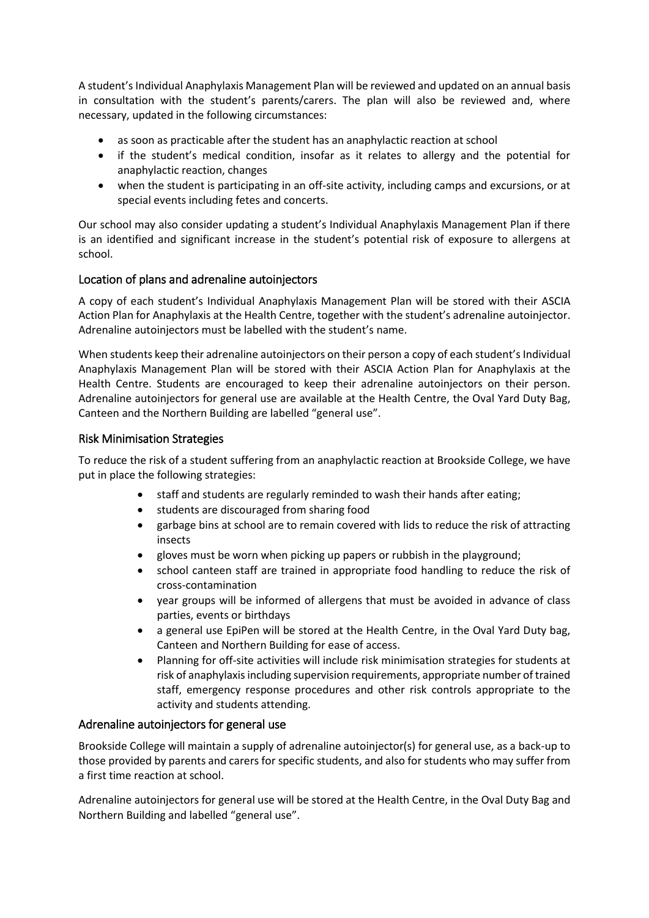A student's Individual Anaphylaxis Management Plan will be reviewed and updated on an annual basis in consultation with the student's parents/carers. The plan will also be reviewed and, where necessary, updated in the following circumstances:

- as soon as practicable after the student has an anaphylactic reaction at school
- if the student's medical condition, insofar as it relates to allergy and the potential for anaphylactic reaction, changes
- when the student is participating in an off-site activity, including camps and excursions, or at special events including fetes and concerts.

Our school may also consider updating a student's Individual Anaphylaxis Management Plan if there is an identified and significant increase in the student's potential risk of exposure to allergens at school.

## Location of plans and adrenaline autoinjectors

A copy of each student's Individual Anaphylaxis Management Plan will be stored with their ASCIA Action Plan for Anaphylaxis at the Health Centre, together with the student's adrenaline autoinjector. Adrenaline autoinjectors must be labelled with the student's name.

When students keep their adrenaline autoinjectors on their person a copy of each student's Individual Anaphylaxis Management Plan will be stored with their ASCIA Action Plan for Anaphylaxis at the Health Centre. Students are encouraged to keep their adrenaline autoinjectors on their person. Adrenaline autoinjectors for general use are available at the Health Centre, the Oval Yard Duty Bag, Canteen and the Northern Building are labelled "general use".

## Risk Minimisation Strategies

To reduce the risk of a student suffering from an anaphylactic reaction at Brookside College, we have put in place the following strategies:

- staff and students are regularly reminded to wash their hands after eating;
- students are discouraged from sharing food
- garbage bins at school are to remain covered with lids to reduce the risk of attracting insects
- gloves must be worn when picking up papers or rubbish in the playground;
- school canteen staff are trained in appropriate food handling to reduce the risk of cross-contamination
- year groups will be informed of allergens that must be avoided in advance of class parties, events or birthdays
- a general use EpiPen will be stored at the Health Centre, in the Oval Yard Duty bag, Canteen and Northern Building for ease of access.
- Planning for off-site activities will include risk minimisation strategies for students at risk of anaphylaxis including supervision requirements, appropriate number of trained staff, emergency response procedures and other risk controls appropriate to the activity and students attending.

## Adrenaline autoinjectors for general use

Brookside College will maintain a supply of adrenaline autoinjector(s) for general use, as a back-up to those provided by parents and carers for specific students, and also for students who may suffer from a first time reaction at school.

Adrenaline autoinjectors for general use will be stored at the Health Centre, in the Oval Duty Bag and Northern Building and labelled "general use".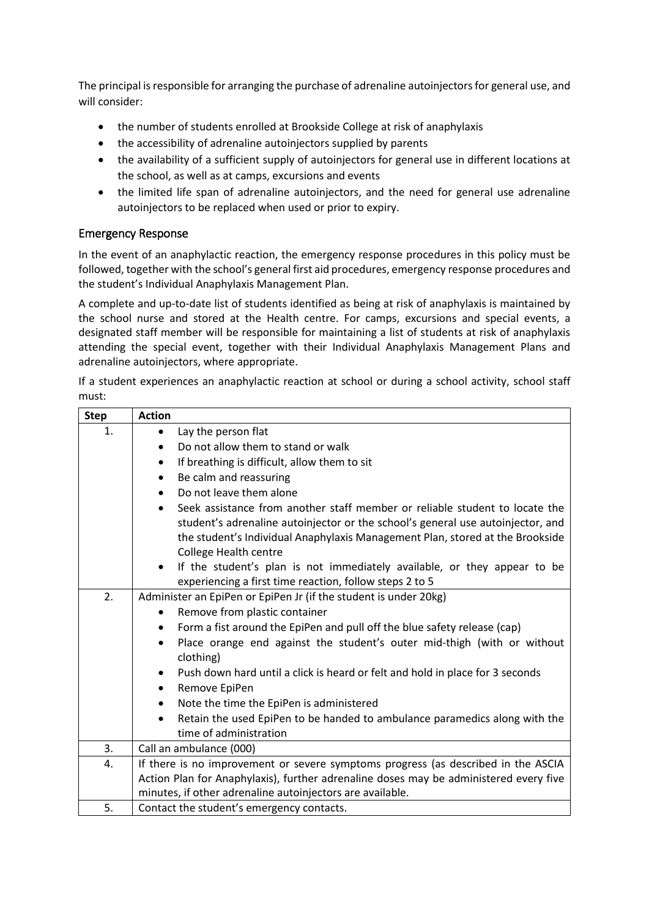The principal is responsible for arranging the purchase of adrenaline autoinjectors for general use, and will consider:

- the number of students enrolled at Brookside College at risk of anaphylaxis
- the accessibility of adrenaline autoinjectors supplied by parents
- the availability of a sufficient supply of autoinjectors for general use in different locations at the school, as well as at camps, excursions and events
- the limited life span of adrenaline autoinjectors, and the need for general use adrenaline autoinjectors to be replaced when used or prior to expiry.

## Emergency Response

In the event of an anaphylactic reaction, the emergency response procedures in this policy must be followed, together with the school's general first aid procedures, emergency response procedures and the student's Individual Anaphylaxis Management Plan.

A complete and up-to-date list of students identified as being at risk of anaphylaxis is maintained by the school nurse and stored at the Health centre. For camps, excursions and special events, a designated staff member will be responsible for maintaining a list of students at risk of anaphylaxis attending the special event, together with their Individual Anaphylaxis Management Plans and adrenaline autoinjectors, where appropriate.

If a student experiences an anaphylactic reaction at school or during a school activity, school staff must:

| <b>Step</b> | <b>Action</b>                                                                                                                                                                                                                                                                                |
|-------------|----------------------------------------------------------------------------------------------------------------------------------------------------------------------------------------------------------------------------------------------------------------------------------------------|
| 1.          | Lay the person flat<br>$\bullet$                                                                                                                                                                                                                                                             |
|             | Do not allow them to stand or walk<br>$\bullet$                                                                                                                                                                                                                                              |
|             | If breathing is difficult, allow them to sit<br>$\bullet$                                                                                                                                                                                                                                    |
|             | Be calm and reassuring<br>$\bullet$                                                                                                                                                                                                                                                          |
|             | Do not leave them alone<br>$\bullet$                                                                                                                                                                                                                                                         |
|             | Seek assistance from another staff member or reliable student to locate the<br>$\bullet$<br>student's adrenaline autoinjector or the school's general use autoinjector, and<br>the student's Individual Anaphylaxis Management Plan, stored at the Brookside<br><b>College Health centre</b> |
|             | If the student's plan is not immediately available, or they appear to be<br>$\bullet$<br>experiencing a first time reaction, follow steps 2 to 5                                                                                                                                             |
| 2.          | Administer an EpiPen or EpiPen Jr (if the student is under 20kg)                                                                                                                                                                                                                             |
|             | Remove from plastic container<br>$\bullet$                                                                                                                                                                                                                                                   |
|             | Form a fist around the EpiPen and pull off the blue safety release (cap)<br>$\bullet$                                                                                                                                                                                                        |
|             | Place orange end against the student's outer mid-thigh (with or without<br>$\bullet$<br>clothing)                                                                                                                                                                                            |
|             | Push down hard until a click is heard or felt and hold in place for 3 seconds                                                                                                                                                                                                                |
|             | Remove EpiPen<br>$\bullet$                                                                                                                                                                                                                                                                   |
|             | Note the time the EpiPen is administered<br>$\bullet$                                                                                                                                                                                                                                        |
|             | Retain the used EpiPen to be handed to ambulance paramedics along with the<br>$\bullet$<br>time of administration                                                                                                                                                                            |
| 3.          | Call an ambulance (000)                                                                                                                                                                                                                                                                      |
| 4.          | If there is no improvement or severe symptoms progress (as described in the ASCIA                                                                                                                                                                                                            |
|             | Action Plan for Anaphylaxis), further adrenaline doses may be administered every five                                                                                                                                                                                                        |
|             | minutes, if other adrenaline autoinjectors are available.                                                                                                                                                                                                                                    |
| 5.          | Contact the student's emergency contacts.                                                                                                                                                                                                                                                    |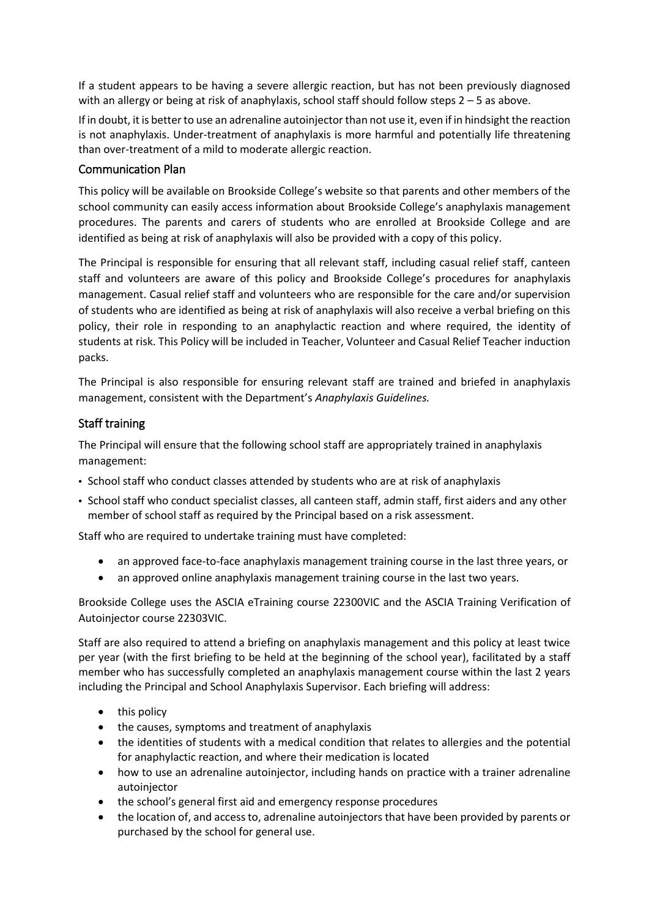If a student appears to be having a severe allergic reaction, but has not been previously diagnosed with an allergy or being at risk of anaphylaxis, school staff should follow steps 2 – 5 as above.

If in doubt, it is better to use an adrenaline autoinjector than not use it, even if in hindsight the reaction is not anaphylaxis. Under-treatment of anaphylaxis is more harmful and potentially life threatening than over-treatment of a mild to moderate allergic reaction.

## Communication Plan

This policy will be available on Brookside College's website so that parents and other members of the school community can easily access information about Brookside College's anaphylaxis management procedures. The parents and carers of students who are enrolled at Brookside College and are identified as being at risk of anaphylaxis will also be provided with a copy of this policy.

The Principal is responsible for ensuring that all relevant staff, including casual relief staff, canteen staff and volunteers are aware of this policy and Brookside College's procedures for anaphylaxis management. Casual relief staff and volunteers who are responsible for the care and/or supervision of students who are identified as being at risk of anaphylaxis will also receive a verbal briefing on this policy, their role in responding to an anaphylactic reaction and where required, the identity of students at risk. This Policy will be included in Teacher, Volunteer and Casual Relief Teacher induction packs.

The Principal is also responsible for ensuring relevant staff are trained and briefed in anaphylaxis management, consistent with the Department's *Anaphylaxis Guidelines.*

## Staff training

The Principal will ensure that the following school staff are appropriately trained in anaphylaxis management:

- School staff who conduct classes attended by students who are at risk of anaphylaxis
- School staff who conduct specialist classes, all canteen staff, admin staff, first aiders and any other member of school staff as required by the Principal based on a risk assessment.

Staff who are required to undertake training must have completed:

- an approved face-to-face anaphylaxis management training course in the last three years, or
- an approved online anaphylaxis management training course in the last two years.

Brookside College uses the ASCIA eTraining course 22300VIC and the ASCIA Training Verification of Autoinjector course 22303VIC.

Staff are also required to attend a briefing on anaphylaxis management and this policy at least twice per year (with the first briefing to be held at the beginning of the school year), facilitated by a staff member who has successfully completed an anaphylaxis management course within the last 2 years including the Principal and School Anaphylaxis Supervisor. Each briefing will address:

- $\bullet$  this policy
- the causes, symptoms and treatment of anaphylaxis
- the identities of students with a medical condition that relates to allergies and the potential for anaphylactic reaction, and where their medication is located
- how to use an adrenaline autoinjector, including hands on practice with a trainer adrenaline autoiniector
- the school's general first aid and emergency response procedures
- the location of, and access to, adrenaline autoinjectors that have been provided by parents or purchased by the school for general use.